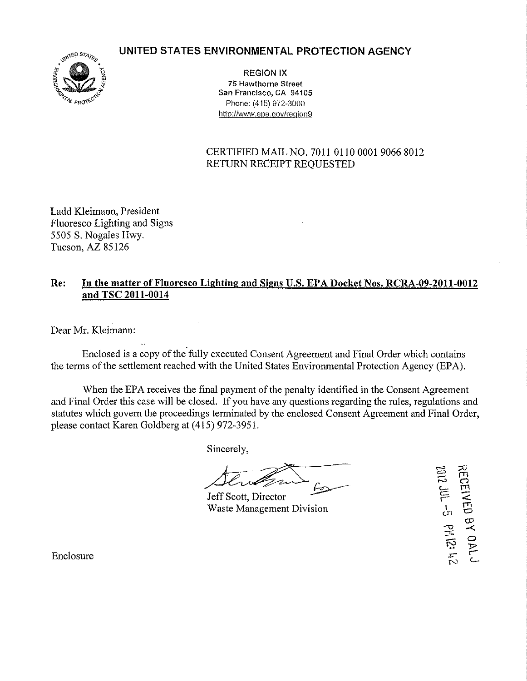**UNITED STATES ENVIRONMENTAL PROTECTION AGENCY** 



REGION IX 75 Hawthorne Street San Francisco, CA 94105 Phone: (415) 972-3000 http://www.epa.gov/reqion9

CERTIFIED MAIL NO. 7011 0110 0001 9066 8012 RETURN RECEIPT REQUESTED

Ladd Kleimann, President Fluoresco Lighting and Signs 5505 S. Nogales Hwy. Tucson, AZ 85126

## **Re: In the matter ofFiuoresco Lighting and Signs U.S. EPA Docket Nos. RCRA-09-2011-0012 and TSC 2011-0014**

Dear Mr. Kleimann:

Enclosed is a copy of the fully executed Consent Agreement and Final Order which contains the terms of the settlement reached with the United States Environmental Protection Agency (EPA).

When the EPA receives the final payment of the penalty identified in the Consent Agreement and Final Order this case will be closed. If you have any questions regarding the rules, regulations and statutes which govern the proceedings terminated by the enclosed Consent Agreement and Final Order, please contact Karen Goldberg at (415) 972-3951.

Sincerely,

Jeff Scott, Director Waste Management Division

**RECEIVED BY OAL JULED BY OAL J** 

Enclosure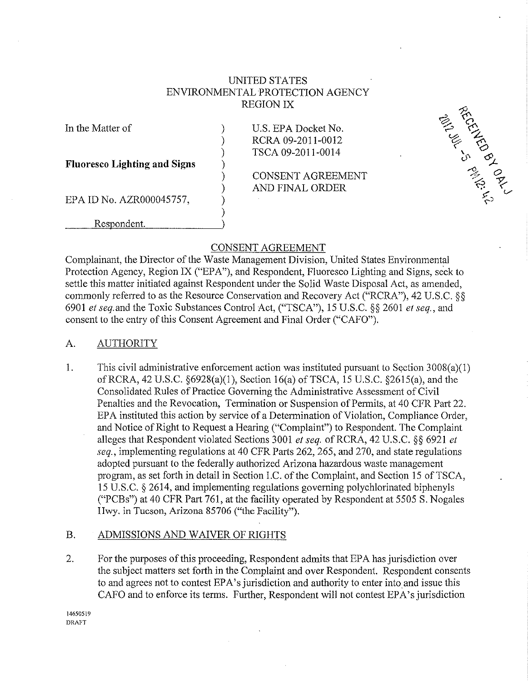## UNITED STATES ENVIRONMENTAL PROTECTION AGENCY REGION IX

) ) ) ) ) ) ) )

In the Matter of

**Fluoresco Lighting and Signs** 

EPA ID No. AZR000045757,

Respondent.

U.S. EPA Docket No. RCRA 09-2011-0012 TSCA 09-2011-0014

ARCOLLES OF CALLS

CONSENT AGREEMENT AND FINAL ORDER

# CONSENT AGREEMENT

Complainant, the Director of the Waste Management Division, United States Environmental Protection Agency, Region IX ("EPA"), and Respondent, Fluoresco Lighting and Signs, seek to settle this matter initiated against Respondent under the Solid Waste Disposal Act, as amended, commonly referred to as the Resource Conservation and Recovery Act ("RCRA"), 42 U.S.C. §§ 6901 *et* seq.and the Toxic Substances Control Act, ("TSCA"), 15 U.S.C. §§ 2601 *et seq.,* and consent to the entry of this Consent Agreement and Final Order ("CAFO").

## A. AUTHORITY

1. This civil administrative enforcement action was instituted pursuant to Section 3008(a)(l) ofRCRA, 42 U.S.C. §6928(a)(l), Section 16(a) ofTSCA, 15 U.S.C. §2615(a), and the Consolidated Rules of Practice Governing the Administrative Assessment of Civil Penalties and the Revocation, Termination or Suspension of Permits, at 40 CFR Part 22. EPA instituted this action by service of a Determination of Violation, Compliance Order, and Notice of Right to Request a Hearing ("Complaint") to Respondent. The Complaint alleges that Respondent violated Sections 3001 *et seq.* ofRCRA, 42 U.S.C. §§ 6921 *et seq.,* implementing regulations at 40 CFR Parts 262, 265, and 270, and state regulations adopted pursuant to the federally authorized Arizona hazardous waste management program, as set forth in detail in Section I.C. of the Complaint, and Section 15 of TSCA, 15 U.S.C. § 2614, and implementing regulations governing polychlorinated biphenyls ("PCBs") at 40 CFR Part 761, at the facility operated by Respondent at 5505 S. Nogales llwy. in Tucson, Arizona 85706 ("the Facility").

# B. ADMISSIONS AND WAIVER OF RIGHTS

2. For the purposes of this proceeding, Respondent admits that EPA has jurisdiction over the subject matters set forth in the Complaint and over Respondent. Respondent consents to and agrees not to contest EPA's jurisdiction and authority to enter into and issue this CAFO and to enforce its terms. Further, Respondent will not contest EPA's jurisdiction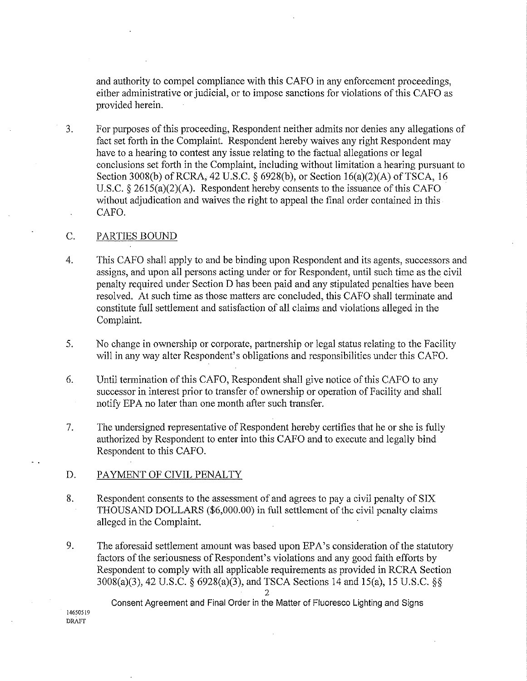and authority to compel compliance with this CAPO in any enforcement proceedings, either administrative or judicial, or to impose sanctions for violations of this CAPO as provided herein.

3. For purposes of this proceeding, Respondent neither admits nor denies any allegations of fact set forth in the Complaint. Respondent hereby waives any right Respondent may have to a hearing to contest any issue relating to the factual allegations or legal conclusions set forth in the Complaint, including without limitation a hearing pursuant to Section 3008(b) of RCRA, 42 U.S.C.  $\S$  6928(b), or Section 16(a)(2)(A) of TSCA, 16 U.S.C.  $\S$  2615(a)(2)(A). Respondent hereby consents to the issuance of this CAFO without adjudication and waives the right to appeal the final order contained in this CAPO.

### C. PARTIES BOUND

- 4. This CAPO shall apply to and be binding upon Respondent and its agents, successors and assigns, and upon all persons acting under or for Respondent, until such time as the civil penalty required under Section D has been paid and any stipulated penalties have been resolved. At such time as those matters are concluded, this CAPO shall terminate and constitute full settlement and satisfaction of all claims and violations alleged in the Complaint.
- 5. No change in ownership or corporate, partnership or legal status relating to the Facility will in any way alter Respondent's obligations and responsibilities under this CAPO.
- 6. Until termination of this CAPO, Respondent shall give notice of this CAPO to any successor in interest prior to transfer of ownership or operation of Facility and shall notify EPA no later than one month after such transfer.
- 7. The undersigned representative of Respondent hereby certifies that he or she is fully authorized by Respondent to enter into this CAPO and to execute and legally bind Respondent to this CAPO.
- D. PAYMENT OF CIVIL PENALTY
- 8. Respondent consents to the assessment of and agrees to pay a civil penalty of SIX THOUSAND DOLLARS (\$6,000.00) in full settlement of the civil penalty claims alleged in the Complaint.
- 9. The aforesaid settlement amount was based upon EPA's consideration of the statutory factors of the seriousness of Respondent's violations and any good faith efforts by Respondent to comply with all applicable requirements as provided in RCRA Section 3008(a)(3), 42 U.S.C. § 6928(a)(3), and TSCA Sections 14 and 15(a), 15 U.S.C. §§

 $\mathfrak{D}$ Consent Agreement and Final Order in the Matter of Fluoresce Lighting and Signs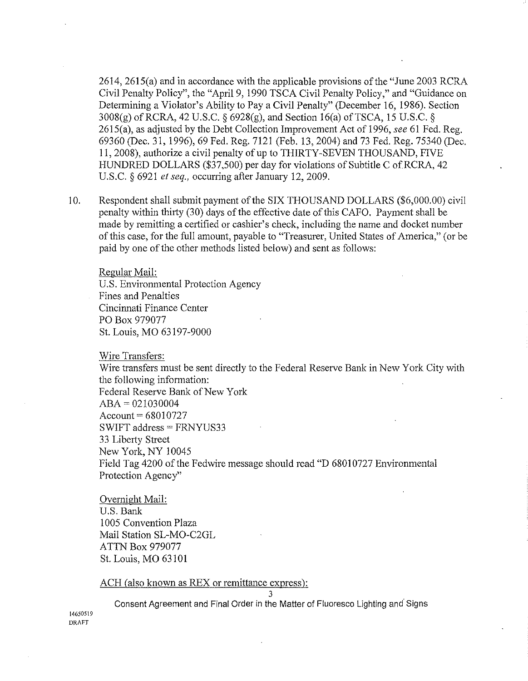2614, 2615(a) and in accordance with the applicable provisions of the "June 2003 RCRA Civil Penalty Policy", the "Apri19, 1990 TSCA Civil Penalty Policy," and "Guidance on Determining a Violator's Ability to Pay a Civil Penalty" (December 16, 1986). Section 3008(g) ofRCRA, 42 U.S.C. § 6928(g), and Section 16(a) ofTSCA, 15 U.S.C. § 2615(a), as adjusted by the Debt Collection Improvement Act of 1996, *see* 61 Fed. Reg. 69360 (Dec. 31, 1996), 69 Fed. Reg. 7121 (Feb. 13, 2004) and 73 Fed. Reg. 75340 (Dec. 11, 2008), authorize a civil penalty of up to THIRTY-SEVEN THOUSAND, FIVE HUNDRED DOLLARS (\$37,500) per day for violations of Subtitle C ofRCRA, 42 U.S.C. § 6921 *et seq.,* occurring after January 12, 2009.

10. Respondent shall submit payment of the SIX THOUSAND DOLLARS (\$6,000.00) civil penalty within thirty (30) days of the effective date of this CAFO. Payment shall be made by remitting a certified or cashier's check, including the name and docket number of this case, for the full amount, payable to "Treasurer, United States of America," (or be paid by one of the other methods listed below) and sent as follows:

Regular Mail: U.S. Environmental Protection Agency Fines and Penalties Cincinnati Finance Center PO Box 979077 St. Louis, MO 63197-9000

Wire Transfers:

Wire transfers must be sent directly to the Federal Reserve Bank in New York City with the following information: Federal Reserve Bank of New York  $ABA = 021030004$  $Account = 68010727$ SWIFT address= FRNYUS33 33 Liberty Street New York, NY 10045 Field Tag 4200 of the Fedwire message should read "D 68010727 Environmental Protection Agency"

Overnight Mail: U.S. Bank 1005 Convention Plaza Mail Station SL-MO-C2GL ATTN Box 979077 St. Louis, MO 63101

ACH (also known as REX or remittance express):

3

Consent Agreement and Final Order in the Matter of Fluoresce Lighting and· Signs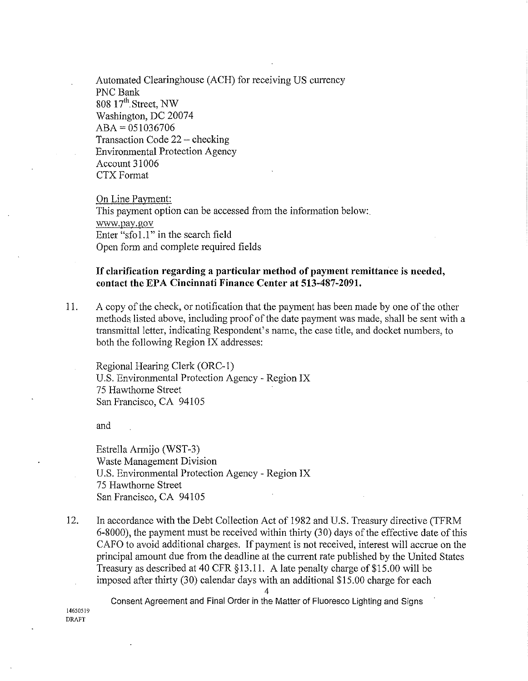Automated Clearinghouse (ACH) for receiving US currency PNC Bank  $808\;17^{\text{th}}$ . Street, NW Washington, DC 20074  $ABA = 051036706$ Transaction Code 22- checking Environmental Protection Agency Account 31 006 CTX Format

On Line Payment: This payment option can be accessed from the information below:. www.pay.gov Enter "sfo1.1" in the search field Open form and complete required fields

### **If clarification regarding a particular method of payment remittance is needed, contact the EPA Cincinnati Finance Center at 513-487-2091.**

11. A copy of the check, or notification that the payment has been made by one of the other methods listed above, including proof of the date payment was made, shall be sent with a transmittal letter, indicating Respondent's name, the case title, and docket numbers, to both the following Region IX addresses:

Regional Hearing Clerk (ORC-1) U.S. Environmental Protection Agency- Region IX 75 Hawthorne Street San Francisco, CA 94105

and

Estrella Armijo (WST-3) Waste Management Division U.S. Environmental Protection Agency- Region IX 75 Hawthorne Street San Francisco, CA 94105

12. In accordance with the Debt Collection Act of 1982 and U.S. Treasury directive (TFRM 6-8000), the payment must be received within thirty (30) days of the effective date of this CAFO to avoid additional charges. If payment is not received, interest will accrue on the principal amount due from the deadline at the current rate published by the United States Treasury as described at 40 CFR §13.11. A late penalty charge of\$15.00 will be imposed after thirty (30) calendar days with an additional \$15.00 charge for each

4 Consent Agreement and Final Order in the Matter of Fluoresce Lighting and Signs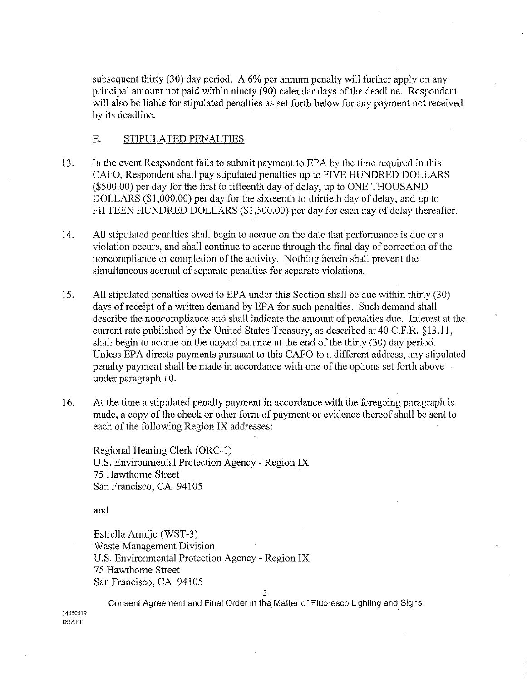subsequent thirty (30) day period. A 6% per annum penalty will further apply on any principal amount not paid within ninety (90) calendar days of the deadline. Respondent will also be liable for stipulated penalties as set forth below for any payment not received by its deadline.

### E. STIPULATED PENALTIES

- 13. In the event Respondent fails to submit payment to EPA by the time required in this CAFO, Respondent shall pay stipulated penalties **up** to FIVE HUNDRED DOLLARS (\$500.00) per day for the first to fifteenth day of delay, up to ONE THOUSAND DOLLARS (\$1,000.00) per day for the sixteenth to thirtieth day of delay, and up to FIFTEEN HUNDRED DOLLARS (\$1,500.00) per day for each day of delay thereafter.
- 14. All stipulated penalties shall begin to accrue on the date that performance is due or a violation occurs, and shall continue to accrue through the final day of correction of the noncompliance or completion of the activity. Nothing herein shall prevent the simultaneous accrual of separate penalties for separate violations.
- 15. All stipulated penalties owed to EPA under this Section shall be due within thirty (30) days of receipt of a written demand by EPA for such penalties. Such demand shall describe the noncompliance and shall indicate the amount of penalties due. Interest at the current rate published by the United States Treasury, as described at 40 C.F.R.  $\S 13.11$ , shall begin to accrue on the unpaid balance at the end of the thirty (30) day period. Unless EPA directs payments pursuant to this CAFO to a different address, any stipulated penalty payment shall be made in accordance with one of the options set forth above under paragraph 10.
- 16. At the time a stipulated penalty payment **in** accordance with the foregoing paragraph is made, a copy of the check or other form of payment or evidence thereof shall be sent to each of the following Region IX addresses:

Regional Hearing Clerk (ORC-1) U.S. Environmental Protection Agency- Region IX 75 Hawthorne Street San Francisco, CA 94105

and

Estrella Armijo (WST-3) Waste Management Division U.S. Environmental Protection Agency- Region IX 75 Hawthorne Street San Francisco, CA 94105

5

**14650519 DRAFT**  Consent Agreement and Final Order in the Matter of Fluoresco Lighting and Signs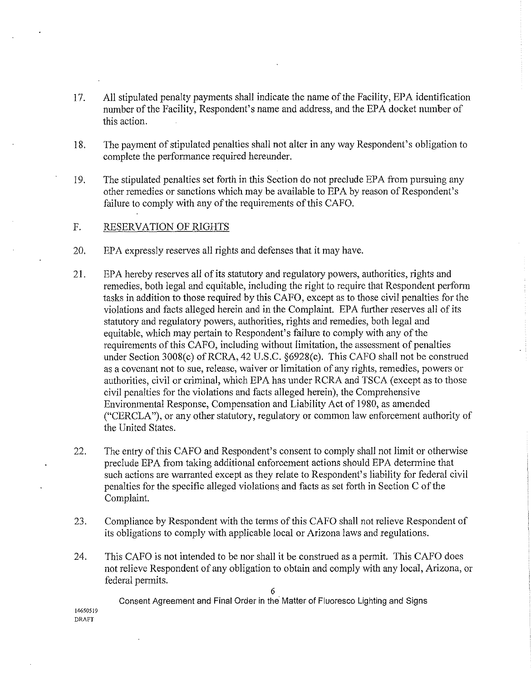- 17. All stipulated penalty payments shall indicate the name of the Facility, EPA identification number of the Facility, Respondent's name and address, and the EPA docket number of this action.
- 18. The payment of stipulated penalties shall not alter in any way Respondent's obligation to complete the performance required hereunder.
- 19. The stipulated penalties set forth in this Section do not preclude EPA from pursuing any other remedies or sanctions which may be available to EPA by reason of Respondent's failure to comply with any of the requirements of this CAFO.
- F. RESERVATION OF RIGHTS

**DRAFT** 

- 20. EPA expressly reserves all rights and defenses that it may have.
- 21. EPA hereby reserves all of its statutory and regulatory powers, authorities, rights and remedies, both legal and equitable, including the right to require that Respondent perform tasks in addition to those required by this CAFO, except as to those civil penalties for the violations and facts alleged herein and in the Complaint. EPA further reserves all of its statutory and regulatory powers, authorities, rights and remedies, both legal and equitable, which may pertain to Respondent's failure to comply with any of the requirements of this CAFO, including without limitation, the assessment of penalties under Section 3008(c) of RCRA, 42 U.S.C. §6928(c). This CAFO shall not be construed as a covenant not to sue, release, waiver or limitation of any rights, remedies, powers or authorities, civil or criminal, which EPA has under RCRA and TSCA (except as to those civil penalties for the violations and facts alleged herein), the Comprehensive Environmental Response, Compensation and Liability Act of 1980, as amended ("CERCLA"), or any other statutory, regulatory or common law enforcement authority of the United States.
- 22. The entry of this CAFO and Respondent's consent to comply shall not limit or otherwise preclude EPA from taking additional enforcement actions should EPA determine that such actions are warranted except as they relate to Respondent's liability for federal civil penalties for the specific alleged violations and facts as set forth in Section C of the Complaint.
- 23. Compliance by Respondent with the terms of this CAFO shall not relieve Respondent of its obligations to comply with applicable local or Arizona laws and regulations.
- 24. This CAFO is not intended to be nor shall it be construed as a permit. This CAFO does not relieve Respondent of any obligation to obtain and comply with any local, Arizona, or federal permits.

6

**14650519**  Consent Agreement and Final Order in the Matter of Fluoresco Lighting and Signs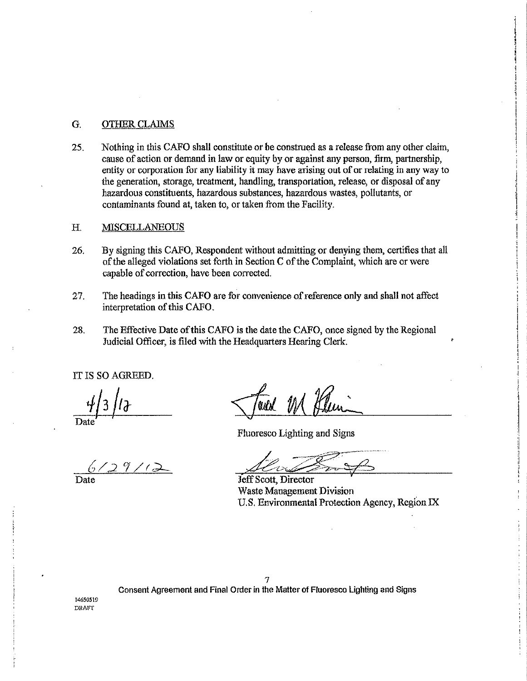### G. OTHER CLAIMS

25. Nothing in this CAFO shall constitute or be construed as a release from any other claim, cause of action or demand in law or equity by or against any person, firm, partnership, entity or corporation for any liability it may have arising out of or relating in any way to the generation, storage, treatment, handling, transportation, release, or disposal of any hazardous constituents, hazardous substances, hazardous wastes, pollutants, or contaminants found at, taken to, or taken from the Facility.

#### H. MISCELLANEOUS

- 26. By signing this CAFO, Respondent without admitting or denying them, certifies that all of the alleged violations set forth in Section C of the Complaint, which are or were capable of correction, have been corrected.
- 27. The headings in this CAFO are for convenience of reference only and shall not affect interpretation of this CAFO.
- 28. The Effective Date of this CAFO is the date the CAFO, once signed by the Regional Judicial Officer, is filed with the Headquarters Hearing Clerk.

IT IS SO AGREED.

*b/* ;2? /rd.-

and

Fluoresco Lighting and Signs

7 Consent Agreement and Final Order in the Matter of Fluoresco lighting and Signs

Jeff Scott, Director Waste Management Division U.S. Environmental Protection Agency, Region IX

**14650.519**   $DRATT$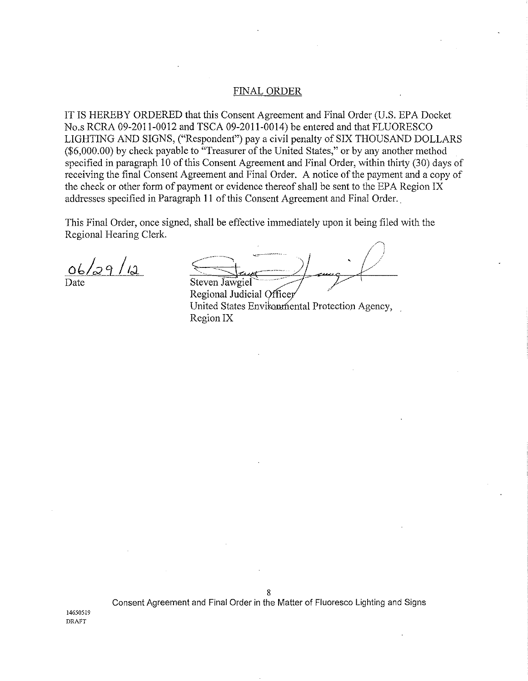#### FINAL ORDER

IT IS HEREBY ORDERED that this Consent Agreement and Final Order (U.S. EPA Docket No.s RCRA 09-2011-0012 and TSCA 09-2011-0014) be entered and that FLUORESCO LIGHTING AND SIGNS, ("Respondent") pay a civil penalty of SIX THOUSAND DOLLARS (\$6,000.00) by check payable to "Treasurer of the United States," or by any another method specified in paragraph 10 of this Consent Agreement and Final Order, within thirty (30) days of receiving the final Consent Agreement and Final Order. A notice of the payment and a copy of the check or other form of payment or evidence thereof shall be sent to the EPA Region IX addresses specified in Paragraph 11 of this Consent Agreement and Final Order..

This Final Order, once signed, shall be effective immediately upon it being filed with the Regional Hearing Clerk.

 $06/29/12$ Date

Steven Jawgiel

Regional Judicial Officer United States Environmental Protection Agency, Region IX

Consent Agreement and Final Order in the Matter of Fluoresce Lighting and Signs